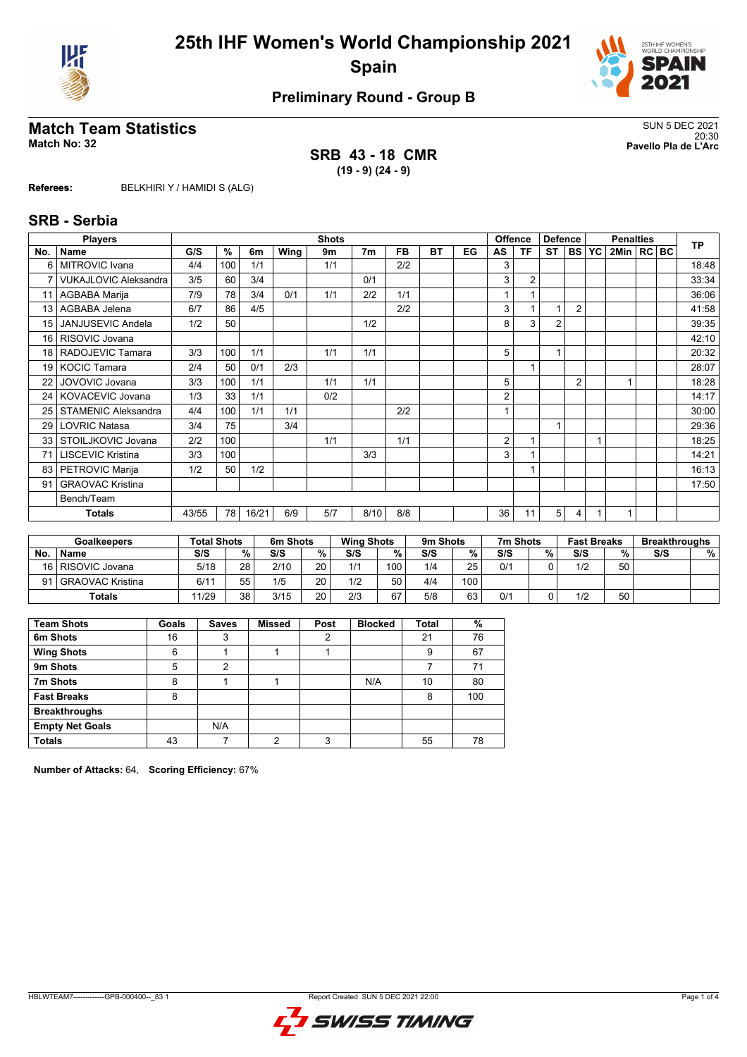



# **Preliminary Round - Group B**

# **Match Team Statistics** SUN 5 DEC 2021

**SRB 43 - 18 CMR (19 - 9) (24 - 9)**

20:30 **Match No: 32 Pavello Pla de L'Arc**

**Referees:** BELKHIRI Y / HAMIDI S (ALG)

#### **SRB - Serbia**

|                 | <b>Players</b>               |       |     |       |      | <b>Shots</b> |                |     |           |    | <b>Offence</b> |                | <b>Defence</b> |                |           | <b>Penalties</b> |  | <b>TP</b> |
|-----------------|------------------------------|-------|-----|-------|------|--------------|----------------|-----|-----------|----|----------------|----------------|----------------|----------------|-----------|------------------|--|-----------|
| No.             | <b>Name</b>                  | G/S   | %   | 6m    | Wing | 9m           | 7 <sub>m</sub> | FB. | <b>BT</b> | EG | AS             | ΤF             | <b>ST</b>      | I BS I         | <b>YC</b> | 2Min   RC   BC   |  |           |
| 6               | <b>MITROVIC Ivana</b>        | 4/4   | 100 | 1/1   |      | 1/1          |                | 2/2 |           |    | 3              |                |                |                |           |                  |  | 18:48     |
| $\overline{7}$  | <b>VUKAJLOVIC Aleksandra</b> | 3/5   | 60  | 3/4   |      |              | 0/1            |     |           |    | 3              | $\overline{2}$ |                |                |           |                  |  | 33:34     |
| 11              | AGBABA Marija                | 7/9   | 78  | 3/4   | 0/1  | 1/1          | 2/2            | 1/1 |           |    |                |                |                |                |           |                  |  | 36:06     |
| 13              | AGBABA Jelena                | 6/7   | 86  | 4/5   |      |              |                | 2/2 |           |    | 3              |                | 1              | $\overline{2}$ |           |                  |  | 41:58     |
| 15              | <b>JANJUSEVIC Andela</b>     | 1/2   | 50  |       |      |              | 1/2            |     |           |    | 8              | 3              | $\overline{2}$ |                |           |                  |  | 39:35     |
| 16 <sup>1</sup> | RISOVIC Jovana               |       |     |       |      |              |                |     |           |    |                |                |                |                |           |                  |  | 42:10     |
|                 | 18   RADOJEVIC Tamara        | 3/3   | 100 | 1/1   |      | 1/1          | 1/1            |     |           |    | 5              |                | 1              |                |           |                  |  | 20:32     |
| 19 <sup>1</sup> | <b>KOCIC Tamara</b>          | 2/4   | 50  | 0/1   | 2/3  |              |                |     |           |    |                |                |                |                |           |                  |  | 28:07     |
| 22              | JOVOVIC Jovana               | 3/3   | 100 | 1/1   |      | 1/1          | 1/1            |     |           |    | 5              |                |                | $\overline{2}$ |           |                  |  | 18:28     |
|                 | 24   KOVACEVIC Jovana        | 1/3   | 33  | 1/1   |      | 0/2          |                |     |           |    | 2              |                |                |                |           |                  |  | 14:17     |
| 25              | <b>STAMENIC Aleksandra</b>   | 4/4   | 100 | 1/1   | 1/1  |              |                | 2/2 |           |    |                |                |                |                |           |                  |  | 30:00     |
| 29              | <b>LOVRIC Natasa</b>         | 3/4   | 75  |       | 3/4  |              |                |     |           |    |                |                | 1              |                |           |                  |  | 29:36     |
|                 | 33   STOILJKOVIC Jovana      | 2/2   | 100 |       |      | 1/1          |                | 1/1 |           |    | 2              |                |                |                |           |                  |  | 18:25     |
| 71              | <b>LISCEVIC Kristina</b>     | 3/3   | 100 |       |      |              | 3/3            |     |           |    | 3              |                |                |                |           |                  |  | 14:21     |
| 83              | PETROVIC Marija              | 1/2   | 50  | 1/2   |      |              |                |     |           |    |                |                |                |                |           |                  |  | 16:13     |
| 91              | <b>GRAOVAC Kristina</b>      |       |     |       |      |              |                |     |           |    |                |                |                |                |           |                  |  | 17:50     |
|                 | Bench/Team                   |       |     |       |      |              |                |     |           |    |                |                |                |                |           |                  |  |           |
|                 | <b>Totals</b>                | 43/55 | 78  | 16/21 | 6/9  | 5/7          | 8/10           | 8/8 |           |    | 36             | 11             | 5              | 4              |           |                  |  |           |

|     | <b>Goalkeepers</b>  | <b>Total Shots</b> |          | 6m Shots |    | <b>Wing Shots</b> |     | 9m Shots |     | 7m Shots |   | <b>Fast Breaks</b> |    | <b>Breakthroughs</b> |   |
|-----|---------------------|--------------------|----------|----------|----|-------------------|-----|----------|-----|----------|---|--------------------|----|----------------------|---|
| No. | <b>Name</b>         | S/S                | %        | S/S      | %. | S/S               | %.  | S/S      | %   | S/S      | % | S/S                | %  | S/S                  | % |
|     | 16   RISOVIC Jovana | 5/18               | 28       | 2/10     | 20 | 1/1               | 100 | 1/4      | 25  | 0/1      |   | 1/2                | 50 |                      |   |
| 91  | l GRAOVAC Kristina  | 6/11               | 55<br>ບປ | 1/5      | 20 | 1/2               | 50  | 4/4      | 100 |          |   |                    |    |                      |   |
|     | Totals              | 11/29              | 38       | 3/15     | 20 | 2/3               | 67  | 5/8      | 63  | 0/1      |   | 1/2                | 50 |                      |   |

| <b>Team Shots</b>      | Goals | <b>Saves</b> | <b>Missed</b> | Post | <b>Blocked</b> | <b>Total</b> | %   |
|------------------------|-------|--------------|---------------|------|----------------|--------------|-----|
| 6m Shots               | 16    | 3            |               | っ    |                | 21           | 76  |
| <b>Wing Shots</b>      | 6     |              |               |      |                | 9            | 67  |
| 9m Shots               | 5     | 2            |               |      |                |              | 71  |
| 7m Shots               | 8     |              |               |      | N/A            | 10           | 80  |
| <b>Fast Breaks</b>     | 8     |              |               |      |                | 8            | 100 |
| <b>Breakthroughs</b>   |       |              |               |      |                |              |     |
| <b>Empty Net Goals</b> |       | N/A          |               |      |                |              |     |
| <b>Totals</b>          | 43    |              | າ             | 3    |                | 55           | 78  |

**Number of Attacks:** 64, **Scoring Efficiency:** 67%

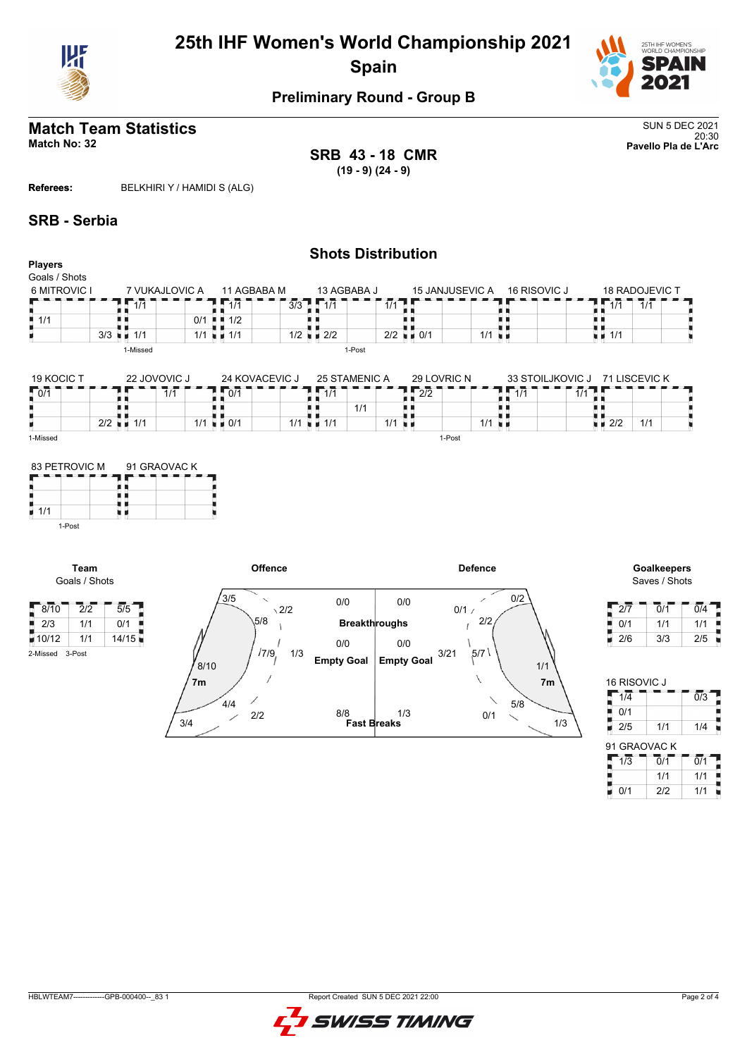



# **Preliminary Round - Group B**

#### **Match Team Statistics** SUN 5 DEC 2021 20:30 **Match No: 32 Pavello Pla de L'Arc**

**SRB 43 - 18 CMR (19 - 9) (24 - 9)**

**Referees:** BELKHIRI Y / HAMIDI S (ALG)

#### **SRB - Serbia**

1-Post

2-Missed 3-Post

**Team** Goals / Shots

| <b>Players</b>                      |                             |                                                  |                                                              | <b>Shots Distribution</b>                                        |                            |                                                              |                       |
|-------------------------------------|-----------------------------|--------------------------------------------------|--------------------------------------------------------------|------------------------------------------------------------------|----------------------------|--------------------------------------------------------------|-----------------------|
| Goals / Shots                       |                             |                                                  |                                                              |                                                                  |                            |                                                              |                       |
| 6 MITROVIC I                        | 7 VUKAJLOVIC A              | 11 AGBABA M                                      | 13 AGBABA J                                                  | <b>15 JANJUSEVIC A</b>                                           |                            | 16 RISOVIC J                                                 | <b>18 RADOJEVIC T</b> |
|                                     | 1/1                         | 1/1                                              | $3/3$ $1/1$                                                  | 1/1                                                              |                            | $\overline{1/1}$                                             | 1/1                   |
| $\blacksquare$ 1/1                  |                             | 1/2<br>0/1                                       |                                                              |                                                                  |                            |                                                              |                       |
|                                     | $3/3$ $\blacksquare$ $1/1$  | $1/1$ $\blacksquare$ $1/1$                       | $1/2$ $\blacksquare$ $2/2$                                   | $2/2$ $\blacksquare$ 0/1                                         | $1/1$ u $\blacksquare$     | $\blacksquare$ 1/1                                           |                       |
|                                     | 1-Missed                    |                                                  |                                                              | 1-Post                                                           |                            |                                                              |                       |
| 19 KOCIC T<br>10/1                  | 22 JOVOVIC J<br>$2/2$ = 1/1 | $\sqrt{1071}$<br>1/1<br>$1/1$ $\blacksquare$ 0/1 | 24 KOVACEVIC J<br>$\sqrt{1/1}$<br>$1/1$ $\blacksquare$ $1/1$ | 25 STAMENIC A<br>29 LOVRIC N<br>$\sqrt{2/2}$<br>1/1<br>$1/1$ u m | $\sqrt{1/1}$<br>1/1<br>u u | 33 STOILJKOVIC J<br>1/1<br>$\blacksquare$ $\blacksquare$ 2/2 | 71 LISCEVIC K<br>1/1  |
| 1-Missed                            |                             |                                                  |                                                              | 1-Post                                                           |                            |                                                              |                       |
| 83 PETROVIC M<br>$\overline{1}$ 1/1 | 91 GRAOVAC K                |                                                  |                                                              |                                                                  |                            |                                                              |                       |



Saves / Shots

| 2/7 | 0/1 | 0/4 |
|-----|-----|-----|
| 0/1 | 1/1 | 1/1 |
| 2/6 | 3/3 | 2/5 |

| <b>16 RISOVIC J</b> |                             |                  |
|---------------------|-----------------------------|------------------|
| $1\overline{4}$     |                             | $\overline{0/3}$ |
| 0/1                 |                             |                  |
| 2/5                 | 1/1                         | 1/4              |
| 91 GRAOVAC K        |                             |                  |
| 1/3                 | $\overline{0}/\overline{1}$ | $\overline{0/1}$ |
|                     | 1/1                         | 1/1              |
| 0/1                 | 212                         | 1/1              |

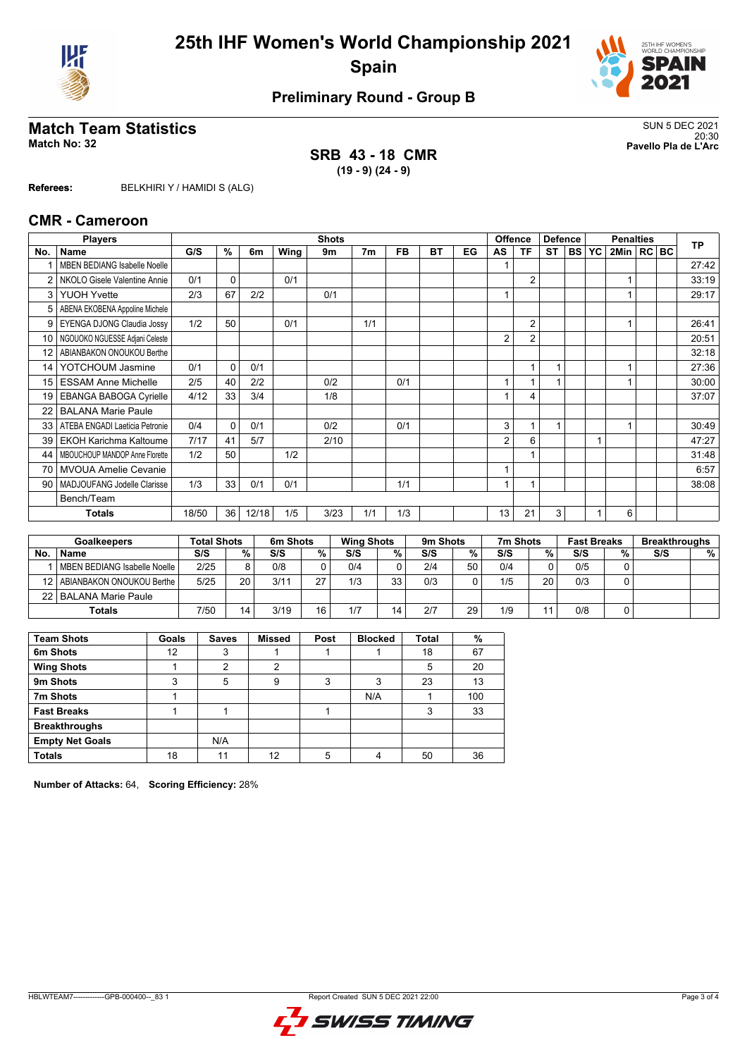



# **Preliminary Round - Group B**

# SUN 5 DEC 2021<br>Match No: 32<br>Pavello Pla de L'Arc

**SRB 43 - 18 CMR (19 - 9) (24 - 9)**

20:30 **Match No: 32 Pavello Pla de L'Arc**

**Referees:** BELKHIRI Y / HAMIDI S (ALG)

#### **CMR - Cameroon**

|                 | <b>Players</b>                      | <b>Shots</b> |          |                |      |      |                |           |           | <b>Offence</b> |                |                | <b>Defence</b> |           | <b>Penalties</b> |                |  |  | <b>TP</b> |
|-----------------|-------------------------------------|--------------|----------|----------------|------|------|----------------|-----------|-----------|----------------|----------------|----------------|----------------|-----------|------------------|----------------|--|--|-----------|
| No.             | Name                                | G/S          | %        | 6 <sub>m</sub> | Wing | 9m   | 7 <sub>m</sub> | <b>FB</b> | <b>BT</b> | EG             | AS             | ΤF             | <b>ST</b>      | <b>BS</b> | YC               | 2Min   RC   BC |  |  |           |
|                 | <b>MBEN BEDIANG Isabelle Noelle</b> |              |          |                |      |      |                |           |           |                |                |                |                |           |                  |                |  |  | 27:42     |
| 2               | NKOLO Gisele Valentine Annie        | 0/1          | 0        |                | 0/1  |      |                |           |           |                |                | $\overline{2}$ |                |           |                  |                |  |  | 33:19     |
| 3               | <b>YUOH Yvette</b>                  | 2/3          | 67       | 2/2            |      | 0/1  |                |           |           |                |                |                |                |           |                  |                |  |  | 29:17     |
| 5               | ABENA EKOBENA Appoline Michele      |              |          |                |      |      |                |           |           |                |                |                |                |           |                  |                |  |  |           |
| 9               | EYENGA DJONG Claudia Jossy          | 1/2          | 50       |                | 0/1  |      | 1/1            |           |           |                |                | $\overline{2}$ |                |           |                  |                |  |  | 26:41     |
| 10              | NGOUOKO NGUESSE Adjani Celeste      |              |          |                |      |      |                |           |           |                | 2              | $\overline{2}$ |                |           |                  |                |  |  | 20:51     |
| 12 <sup>2</sup> | ABIANBAKON ONOUKOU Berthe           |              |          |                |      |      |                |           |           |                |                |                |                |           |                  |                |  |  | 32:18     |
| 14              | YOTCHOUM Jasmine                    | 0/1          | $\Omega$ | 0/1            |      |      |                |           |           |                |                |                |                |           |                  |                |  |  | 27:36     |
| 15              | <b>ESSAM Anne Michelle</b>          | 2/5          | 40       | 2/2            |      | 0/2  |                | 0/1       |           |                | $\overline{ }$ |                | 1              |           |                  |                |  |  | 30:00     |
| 19              | <b>EBANGA BABOGA Cyrielle</b>       | 4/12         | 33       | 3/4            |      | 1/8  |                |           |           |                |                | 4              |                |           |                  |                |  |  | 37:07     |
| 22              | <b>BALANA Marie Paule</b>           |              |          |                |      |      |                |           |           |                |                |                |                |           |                  |                |  |  |           |
| 33              | ATEBA ENGADI Laeticia Petronie      | 0/4          | $\Omega$ | 0/1            |      | 0/2  |                | 0/1       |           |                | 3              | 1              | 1              |           |                  |                |  |  | 30:49     |
| 39              | <b>EKOH Karichma Kaltoume</b>       | 7/17         | 41       | 5/7            |      | 2/10 |                |           |           |                | 2              | 6              |                |           |                  |                |  |  | 47:27     |
| 44              | MBOUCHOUP MANDOP Anne Florette      | 1/2          | 50       |                | 1/2  |      |                |           |           |                |                |                |                |           |                  |                |  |  | 31:48     |
| 70              | <b>MVOUA Amelie Cevanie</b>         |              |          |                |      |      |                |           |           |                |                |                |                |           |                  |                |  |  | 6:57      |
| 90              | MADJOUFANG Jodelle Clarisse         | 1/3          | 33       | 0/1            | 0/1  |      |                | 1/1       |           |                |                |                |                |           |                  |                |  |  | 38:08     |
|                 | Bench/Team                          |              |          |                |      |      |                |           |           |                |                |                |                |           |                  |                |  |  |           |
|                 | Totals                              | 18/50        | 36       | 12/18          | 1/5  | 3/23 | 1/1            | 1/3       |           |                | 13             | 21             | 3              |           |                  | 6              |  |  |           |

|           | <b>Total Shots</b><br><b>Goalkeepers</b> |      |    | 6m Shots |    | <b>Wing Shots</b> |    | 9 <sub>m</sub> Shots |    | 7m Shots |              | <b>Fast Breaks</b> |   | <b>Breakthroughs</b> |   |
|-----------|------------------------------------------|------|----|----------|----|-------------------|----|----------------------|----|----------|--------------|--------------------|---|----------------------|---|
| <b>No</b> | <b>Name</b>                              | S/S  | %  | S/S      | %  | S/S               | %  | S/S                  | %  | S/S      | %            | S/S                | % | S/S                  | % |
|           | I MBEN BEDIANG Isabelle Noelle           | 2/25 | R  | 0/8      |    | 0/4               |    | 2/4                  | 50 | 0/4      | <sup>n</sup> | 0/5                |   |                      |   |
| 12 I      | ABIANBAKON ONOUKOU Berthe                | 5/25 | 20 | 3/11     | 27 | 1/3               | ৭৭ | 0/3                  | 0  | 1/5      | 20           | 0/3                |   |                      |   |
|           | 22   BALANA Marie Paule                  |      |    |          |    |                   |    |                      |    |          |              |                    |   |                      |   |
|           | <b>Totals</b>                            | 7/50 | 14 | 3/19     | 16 | 1/7               | 14 | 2/7                  | 29 | 1/9      | 44           | 0/8                |   |                      |   |

| <b>Team Shots</b>      | Goals | <b>Saves</b> | <b>Missed</b> | Post | <b>Blocked</b> | <b>Total</b> | %   |
|------------------------|-------|--------------|---------------|------|----------------|--------------|-----|
| 6m Shots               | 12    | 3            |               |      |                | 18           | 67  |
| <b>Wing Shots</b>      |       | 2            | 2             |      |                | 5            | 20  |
| 9m Shots               | 3     | 5            | 9             | 3    | 3              | 23           | 13  |
| 7m Shots               |       |              |               |      | N/A            |              | 100 |
| <b>Fast Breaks</b>     |       |              |               |      |                | 3            | 33  |
| <b>Breakthroughs</b>   |       |              |               |      |                |              |     |
| <b>Empty Net Goals</b> |       | N/A          |               |      |                |              |     |
| <b>Totals</b>          | 18    | 11           | 12            |      |                | 50           | 36  |

**Number of Attacks:** 64, **Scoring Efficiency:** 28%